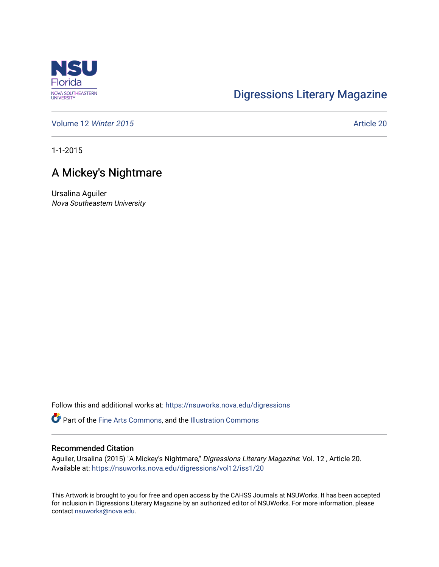

## [Digressions Literary Magazine](https://nsuworks.nova.edu/digressions)

[Volume 12](https://nsuworks.nova.edu/digressions/vol12) Winter 2015 **Article 20** Article 20

1-1-2015

## A Mickey's Nightmare

Ursalina Aguiler Nova Southeastern University

Follow this and additional works at: [https://nsuworks.nova.edu/digressions](https://nsuworks.nova.edu/digressions?utm_source=nsuworks.nova.edu%2Fdigressions%2Fvol12%2Fiss1%2F20&utm_medium=PDF&utm_campaign=PDFCoverPages) 

Part of the [Fine Arts Commons,](http://network.bepress.com/hgg/discipline/1141?utm_source=nsuworks.nova.edu%2Fdigressions%2Fvol12%2Fiss1%2F20&utm_medium=PDF&utm_campaign=PDFCoverPages) and the [Illustration Commons](http://network.bepress.com/hgg/discipline/1135?utm_source=nsuworks.nova.edu%2Fdigressions%2Fvol12%2Fiss1%2F20&utm_medium=PDF&utm_campaign=PDFCoverPages)

## Recommended Citation

Aguiler, Ursalina (2015) "A Mickey's Nightmare," Digressions Literary Magazine: Vol. 12 , Article 20. Available at: [https://nsuworks.nova.edu/digressions/vol12/iss1/20](https://nsuworks.nova.edu/digressions/vol12/iss1/20?utm_source=nsuworks.nova.edu%2Fdigressions%2Fvol12%2Fiss1%2F20&utm_medium=PDF&utm_campaign=PDFCoverPages)

This Artwork is brought to you for free and open access by the CAHSS Journals at NSUWorks. It has been accepted for inclusion in Digressions Literary Magazine by an authorized editor of NSUWorks. For more information, please contact [nsuworks@nova.edu.](mailto:nsuworks@nova.edu)